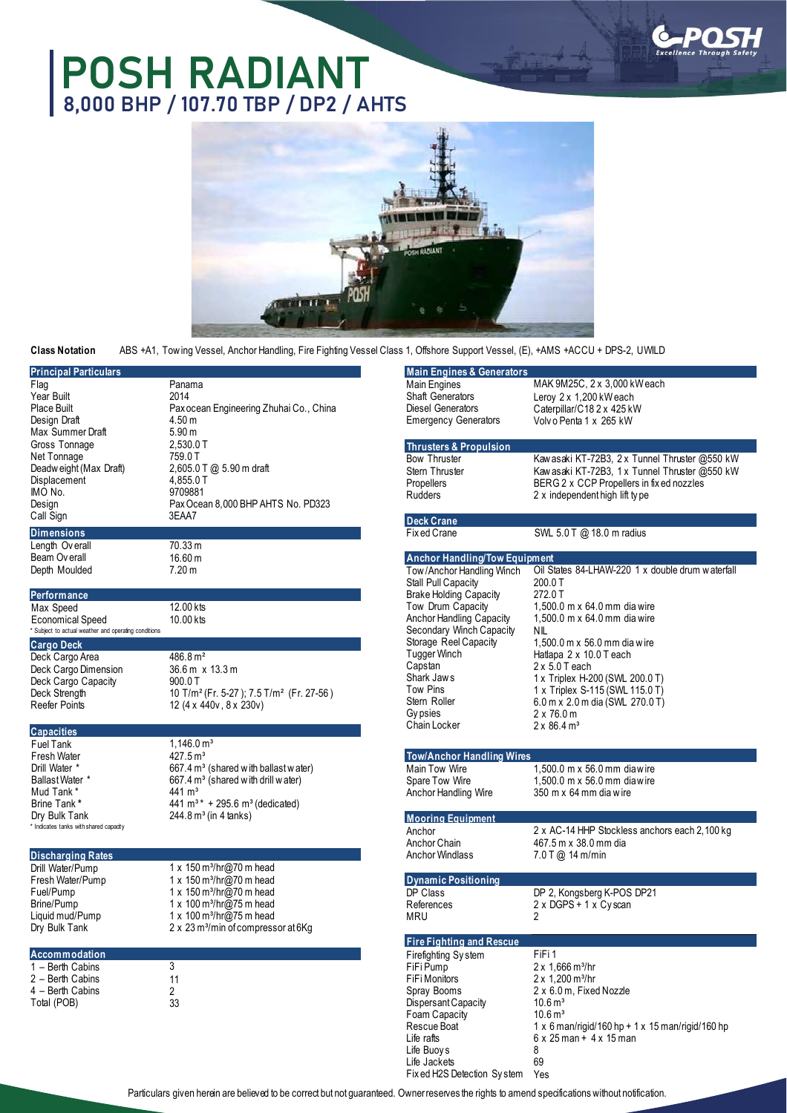## **POSH RADIANT 8,000 BHP / 107.70 TBP / DP2 / AHTS**





**Class Notation** ABS +A1, Tow ing Vessel, Anchor Handling, Fire Fighting Vessel Class 1, Offshore Support Vessel, (E), +AMS +ACCU + DPS-2, UWILD

| <b>Principal Particulars</b>                         |                                                                  | <b>Main Engines &amp; Generators</b> |
|------------------------------------------------------|------------------------------------------------------------------|--------------------------------------|
| Flag                                                 | Panama                                                           | <b>Main Engines</b>                  |
| Year Built                                           | 2014                                                             | <b>Shaft Generators</b>              |
| Place Built                                          | Pax ocean Engineering Zhuhai Co., China                          | <b>Diesel Generators</b>             |
|                                                      |                                                                  |                                      |
| Design Draft                                         | 4.50 m                                                           | <b>Emergency Generators</b>          |
| Max Summer Draft                                     | 5.90 <sub>m</sub>                                                |                                      |
| Gross Tonnage                                        | 2,530.0 T                                                        | <b>Thrusters &amp; Propulsion</b>    |
| Net Tonnage                                          | 759.0 T                                                          | <b>Bow Thruster</b>                  |
| Deadweight (Max Draft)                               | 2,605.0 T @ 5.90 m draft                                         |                                      |
|                                                      |                                                                  | Stern Thruster                       |
| Displacement                                         | 4,855.0 T                                                        | Propellers                           |
| IMO No.                                              | 9709881                                                          | <b>Rudders</b>                       |
| Design                                               | Pax Ocean 8,000 BHP AHTS No. PD323                               |                                      |
| Call Sign                                            | 3EAA7                                                            |                                      |
|                                                      |                                                                  | <b>Deck Crane</b>                    |
| <b>Dimensions</b>                                    |                                                                  | Fix ed Crane                         |
| Length Overall                                       | 70.33 m                                                          |                                      |
| Beam Overall                                         | 16.60 m                                                          | <b>Anchor Handling/Tow Equi</b>      |
|                                                      |                                                                  |                                      |
| Depth Moulded                                        | 7.20 m                                                           | Tow/Anchor Handling Winch            |
|                                                      |                                                                  | Stall Pull Capacity                  |
| Performance                                          |                                                                  | <b>Brake Holding Capacity</b>        |
| Max Speed                                            | 12.00 kts                                                        | Tow Drum Capacity                    |
|                                                      |                                                                  |                                      |
| Economical Speed                                     | 10.00 kts                                                        | Anchor Handling Capacity             |
| * Subject to actual weather and operating conditions |                                                                  | Secondary Winch Capacity             |
| <b>Cargo Deck</b>                                    |                                                                  | Storage Reel Capacity                |
| Deck Cargo Area                                      | 486.8 m <sup>2</sup>                                             | <b>Tugger Winch</b>                  |
|                                                      |                                                                  | Capstan                              |
| Deck Cargo Dimension                                 | 36.6 m x 13.3 m                                                  | Shark Jaws                           |
| Deck Cargo Capacity                                  | 900.0T                                                           |                                      |
| Deck Strength                                        | 10 T/m <sup>2</sup> (Fr. 5-27); 7.5 T/m <sup>2</sup> (Fr. 27-56) | Tow Pins                             |
| <b>Reefer Points</b>                                 | 12 (4 x 440v, 8 x 230v)                                          | Stern Roller                         |
|                                                      |                                                                  | Gy psies                             |
|                                                      |                                                                  | Chain Locker                         |
| <b>Capacities</b>                                    |                                                                  |                                      |
| Fuel Tank                                            | $1,146.0 \,\mathrm{m}^3$                                         |                                      |
| Fresh Water                                          | 427.5 m <sup>3</sup>                                             | Tow/Anchor Handling Wire             |
|                                                      |                                                                  |                                      |
| Drill Water *                                        | $667.4 \text{ m}^3$ (shared with ballast w ater)                 | Main Tow Wire                        |
| <b>Ballast Water *</b>                               | 667.4 m <sup>3</sup> (shared with drill water)                   | Spare Tow Wire                       |
| Mud Tank *                                           | 441 m <sup>3</sup>                                               | Anchor Handling Wire                 |
| Brine Tank *                                         | 441 m <sup>3</sup> $*$ + 295.6 m <sup>3</sup> (dedicated)        |                                      |
| Dry Bulk Tank                                        | $244.8 \,\mathrm{m}^3$ (in 4 tanks)                              |                                      |
| * Indicates tanks with shared capadty                |                                                                  | <b>Mooring Equipment</b>             |
|                                                      |                                                                  | Anchor                               |
|                                                      |                                                                  | Anchor Chain                         |
| <b>Discharging Rates</b>                             |                                                                  | <b>Anchor Windlass</b>               |
|                                                      | 1 x 150 m <sup>3</sup> /hr@70 m head                             |                                      |
| Drill Water/Pump                                     |                                                                  |                                      |
| Fresh Water/Pump                                     | 1 x 150 m <sup>3</sup> /hr@70 m head                             | <b>Dynamic Positioning</b>           |
| Fuel/Pump                                            | 1 x 150 m <sup>3</sup> /hr@70 m head                             | DP Class                             |
| Brine/Pump                                           | 1 x 100 m <sup>3</sup> /hr@75 m head                             | References                           |
| Liquid mud/Pump                                      | 1 x 100 m <sup>3</sup> /hr@75 m head                             | MRU                                  |
|                                                      |                                                                  |                                      |
| Dry Bulk Tank                                        | 2 x 23 m <sup>3</sup> /min of compressor at 6Kg                  |                                      |
|                                                      |                                                                  | <b>Fire Fighting and Rescue</b>      |
| Accommodation                                        |                                                                  | Firefighting System                  |
|                                                      |                                                                  |                                      |
| 1 - Berth Cabins                                     | 3                                                                | FiFi Pump                            |
| 2 - Berth Cabins                                     | 11                                                               | FiFi Monitors                        |
| 4 - Berth Cabins                                     | $\overline{2}$                                                   | Spray Booms                          |
| Total (POB)                                          | 33                                                               | Dispersant Capacity                  |
|                                                      |                                                                  | Foam Capacity                        |
|                                                      |                                                                  | Reccue Roat                          |
|                                                      |                                                                  |                                      |

| Main Engines & Generators   |                                |
|-----------------------------|--------------------------------|
| Aain Engines                | MAK 9M25C, 2 x 3,000 kW each   |
| Shaft Generators            | Leroy $2 \times 1,200$ kW each |
| Diesel Generators           | Caterpillar/C182x 425 kW       |
| <b>Emergency Generators</b> | Volv o Penta 1 x 265 kW        |
|                             |                                |

**Thrusters & Propulsion** Bow Thruster Stern Thruster Propellers Rudders Kaw asaki KT-72B3, 2 x Tunnel Thruster @550 kW Kaw asaki KT-72B3, 1 x Tunnel Thruster @550 kW BERG 2 x CCP Propellers in fix ed nozzles 2 x independent high lift ty pe **Deck Crane SWL 5.0 T @ 18.0 m radius Anchor Handling/Tow Equipment** Tow / Anchor Handling Winch Stall Pull Capacity Brake Holding Capacity Tow Drum Capacity Anchor Handling Capacity Secondary Winch Capacity Storage Reel Capacity Tugger Winch Capstan Shark Jaw s Tow Pins Oil States 84-LHAW-220 1 x double drum w aterfall 200.0 T 272.0 T 1,500.0 m x 64.0 mm dia wire 1,500.0 m x 64.0 mm dia wire NIL 1,500.0 m x 56.0 mm dia w ire Hatlapa 2 x 10.0 T each 2 x 5.0 T each 1 x Triplex H-200 (SWL 200.0 T) 1 x Triplex S-115 (SWL 115.0 T)

## Stern Roller Gy psies Chain Locker 6.0 m x 2.0 m dia (SWL 270.0 T) 2 x 76.0 m  $2 \times 86.4 \text{ m}^3$ **Tow/Anchor Handling Wires** Main Tow Wire Spare Tow Wire Anchor Handling Wire 1,500.0 m x 56.0 mm diaw ire 1,500.0 m x 56.0 mm diaw ire 350 m x 64 mm dia w ire **Mooring Equipment** Anchor Anchor Chain Anchor Windlass 2 x AC-14 HHP Stockless anchors each 2,100 kg 467.5 m x 38.0 mm dia **Discharging Rates** 7.0 T @ 14 m/min **Dynamic Positioning** DP Class References DP 2, Kongsberg K-POS DP21 2 x DGPS + 1 x Cy scan  $\overline{2}$

## **Fire Fighting and Rescue** Firefighting Sy stem FiFi Pump FiFi Monitors Spray Booms DispersantCapacity Foam Capacity Rescue Boat Life rafts Life Buoy s Life Jackets Fix ed H2S Detection Sy stem FiFi 1  $2 \times 1,666$  m<sup>3</sup>/hr 2 x 1,200 m<sup>3</sup>/hr 2 x 6.0 m, Fixed Nozzle  $10.6 m<sup>3</sup>$  $10.6 \,\mathrm{m}^3$ 1 x 6 man/rigid/160 hp + 1 x 15 man/rigid/160 hp 6 x 25 man + 4 x 15 man 8 69 Yes